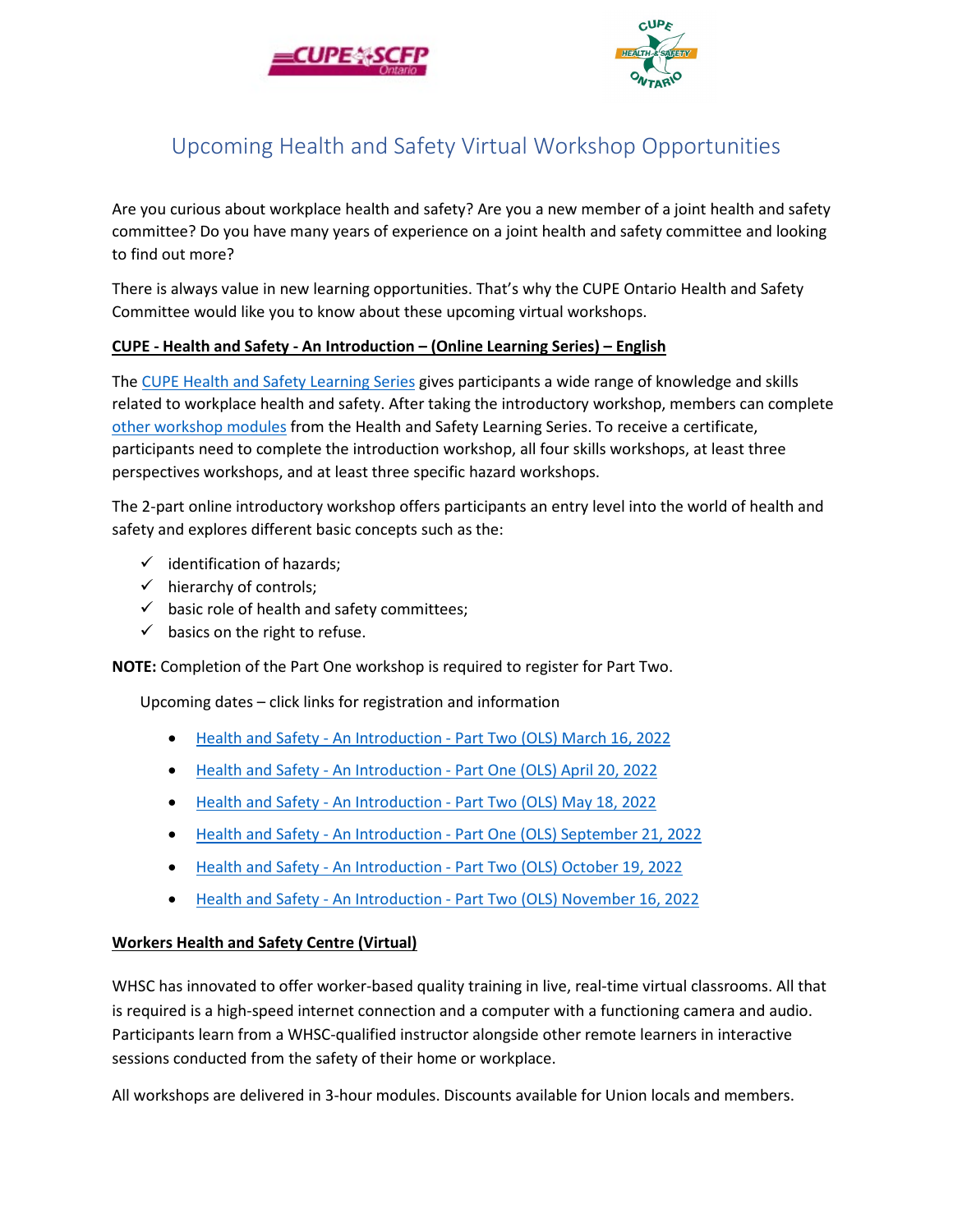



## Upcoming Health and Safety Virtual Workshop Opportunities

Are you curious about workplace health and safety? Are you a new member of a joint health and safety committee? Do you have many years of experience on a joint health and safety committee and looking to find out more?

There is always value in new learning opportunities. That's why the CUPE Ontario Health and Safety Committee would like you to know about these upcoming virtual workshops.

## **CUPE - Health and Safety - An Introduction – (Online Learning Series) – English**

The [CUPE Health and Safety Learning Series](https://cupe.ca/health-safety-learning-series) gives participants a wide range of knowledge and skills related to workplace health and safety. After taking the introductory workshop, members can complete [other workshop modules](https://cupe.ca/health-safety-learning-series) from the Health and Safety Learning Series. To receive a certificate, participants need to complete the introduction workshop, all four skills workshops, at least three perspectives workshops, and at least three specific hazard workshops.

The 2-part online introductory workshop offers participants an entry level into the world of health and safety and explores different basic concepts such as the:

- $\checkmark$  identification of hazards;
- $\checkmark$  hierarchy of controls;
- $\checkmark$  basic role of health and safety committees;
- $\checkmark$  basics on the right to refuse.

**NOTE:** Completion of the Part One workshop is required to register for Part Two.

Upcoming dates – click links for registration and information

- Health and Safety An Introduction [Part Two \(OLS\) March 16, 2022](https://cupe.ca/mrm-union-education/event/4948)
- Health and Safety An Introduction [Part One \(OLS\) April 20, 2022](https://cupe.ca/mrm-union-education/event/4970)
- Health and Safety An Introduction [Part Two \(OLS\) May 18, 2022](https://cupe.ca/mrm-union-education/event/4994)
- Health and Safety An Introduction [Part One \(OLS\) September 21, 2022](https://cupe.ca/mrm-union-education/event/5008)
- Health and Safety An Introduction [Part Two \(OLS\) October 19, 2022](https://cupe.ca/mrm-union-education/event/5017)
- Health and Safety An Introduction [Part Two \(OLS\) November 16, 2022](https://cupe.ca/mrm-union-education/event/5025)

## **Workers Health and Safety Centre (Virtual)**

WHSC has innovated to offer worker-based quality training in live, real-time virtual classrooms. All that is required is a high-speed internet connection and a computer with a functioning camera and audio. Participants learn from a WHSC-qualified instructor alongside other remote learners in interactive sessions conducted from the safety of their home or workplace.

All workshops are delivered in 3-hour modules. Discounts available for Union locals and members.